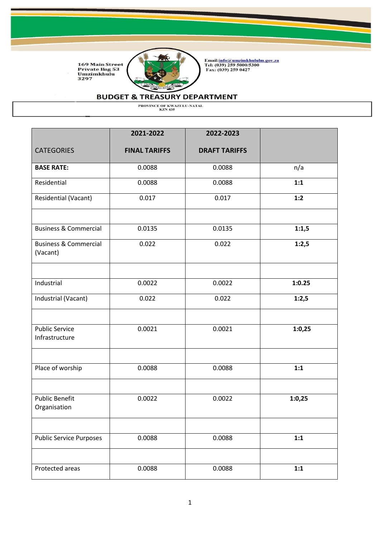

Email:<u>info@umzimkhululm.gov.za</u><br>Tel: (039) 259 5000/5300<br>Fax: (039) 259 0427

### **BUDGET & TREASURY DEPARTMENT**

|                                              | 2021-2022            | 2022-2023            |        |
|----------------------------------------------|----------------------|----------------------|--------|
| <b>CATEGORIES</b>                            | <b>FINAL TARIFFS</b> | <b>DRAFT TARIFFS</b> |        |
| <b>BASE RATE:</b>                            | 0.0088               | 0.0088               | n/a    |
| Residential                                  | 0.0088               | 0.0088               | 1:1    |
| Residential (Vacant)                         | 0.017                | 0.017                | 1:2    |
| <b>Business &amp; Commercial</b>             | 0.0135               | 0.0135               | 1:1,5  |
| <b>Business &amp; Commercial</b><br>(Vacant) | 0.022                | 0.022                | 1:2,5  |
| Industrial                                   | 0.0022               | 0.0022               | 1:0.25 |
| Industrial (Vacant)                          | 0.022                | 0.022                | 1:2,5  |
| <b>Public Service</b><br>Infrastructure      | 0.0021               | 0.0021               | 1:0,25 |
| Place of worship                             | 0.0088               | 0.0088               | 1:1    |
| <b>Public Benefit</b><br>Organisation        | 0.0022               | 0.0022               | 1:0,25 |
| <b>Public Service Purposes</b>               | 0.0088               | 0.0088               | 1:1    |
|                                              |                      |                      |        |
| Protected areas                              | 0.0088               | 0.0088               | 1:1    |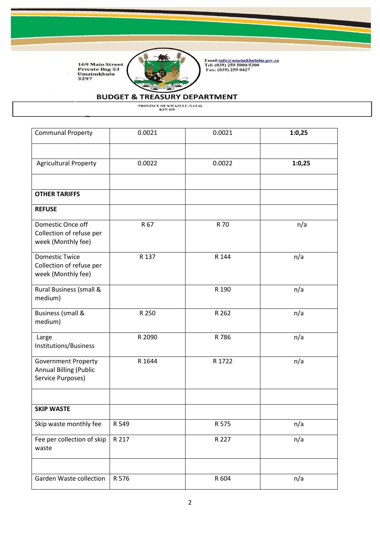

Email:<u>info@umzimkhululm.gov.za</u><br>Tel: (039) 259 5000/5300<br>Fax: (039) 259 0427

# **BUDGET & TREASURY DEPARTMENT**

| <b>Communal Property</b>                                                         | 0.0021 | 0.0021 | 1:0,25 |
|----------------------------------------------------------------------------------|--------|--------|--------|
| <b>Agricultural Property</b>                                                     | 0.0022 | 0.0022 | 1:0,25 |
|                                                                                  |        |        |        |
| <b>OTHER TARIFFS</b>                                                             |        |        |        |
| <b>REFUSE</b>                                                                    |        |        |        |
| Domestic Once off<br>Collection of refuse per<br>week (Monthly fee)              | R 67   | R 70   | n/a    |
| <b>Domestic Twice</b><br>Collection of refuse per<br>week (Monthly fee)          | R 137  | R 144  | n/a    |
| Rural Business (small &<br>medium)                                               |        | R 190  | n/a    |
| <b>Business (small &amp;</b><br>medium)                                          | R 250  | R 262  | n/a    |
| Large<br>Institutions/Business                                                   | R 2090 | R 786  | n/a    |
| <b>Government Property</b><br><b>Annual Billing (Public</b><br>Service Purposes) | R 1644 | R 1722 | n/a    |
| <b>SKIP WASTE</b>                                                                |        |        |        |
| Skip waste monthly fee                                                           | R 549  | R 575  | n/a    |
| Fee per collection of skip<br>waste                                              | R 217  | R 227  | n/a    |
|                                                                                  |        |        |        |
| Garden Waste collection                                                          | R 576  | R 604  | n/a    |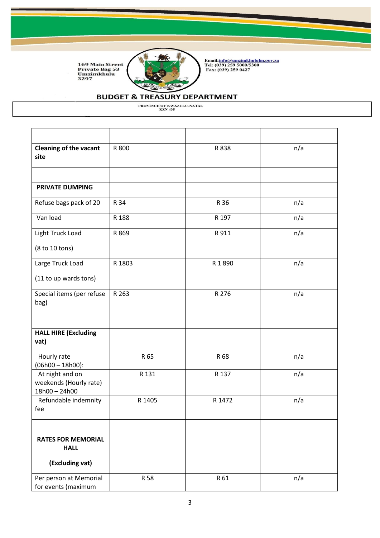

Email:<u>info@umzimkhululm.gov.za</u><br>Tel: (039) 259 5000/5300<br>Fax: (039) 259 0427

# **BUDGET & TREASURY DEPARTMENT**

| <b>Cleaning of the vacant</b><br>site                      | R 800  | R 838  | n/a |
|------------------------------------------------------------|--------|--------|-----|
|                                                            |        |        |     |
| PRIVATE DUMPING                                            |        |        |     |
| Refuse bags pack of 20                                     | R 34   | R 36   | n/a |
| Van load                                                   | R 188  | R 197  | n/a |
| Light Truck Load                                           | R 869  | R 911  | n/a |
| (8 to 10 tons)                                             |        |        |     |
| Large Truck Load                                           | R 1803 | R 1890 | n/a |
| (11 to up wards tons)                                      |        |        |     |
| Special items (per refuse<br>bag)                          | R 263  | R 276  | n/a |
| <b>HALL HIRE (Excluding</b><br>vat)                        |        |        |     |
| Hourly rate<br>$(06h00 - 18h00)$ :                         | R 65   | R 68   | n/a |
| At night and on<br>weekends (Hourly rate)<br>18h00 - 24h00 | R 131  | R 137  | n/a |
| Refundable indemnity<br>fee                                | R 1405 | R 1472 | n/a |
|                                                            |        |        |     |
| <b>RATES FOR MEMORIAL</b><br><b>HALL</b>                   |        |        |     |
| (Excluding vat)                                            |        |        |     |
| Per person at Memorial<br>for events (maximum              | R 58   | R 61   | n/a |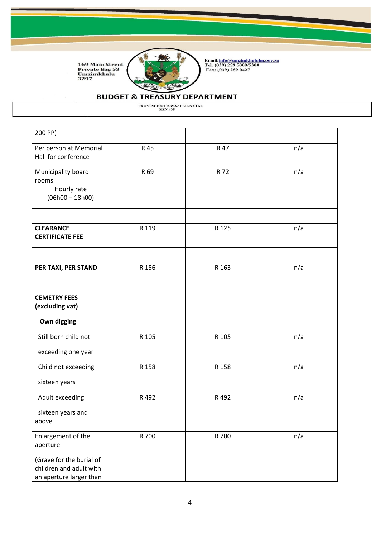

Email:<u>info@umzimkhululm.gov.za</u><br>Tel: (039) 259 5000/5300<br>Fax: (039) 259 0427

# **BUDGET & TREASURY DEPARTMENT**

| 200 PP)                                                                                                          |       |       |     |
|------------------------------------------------------------------------------------------------------------------|-------|-------|-----|
| Per person at Memorial<br>Hall for conference                                                                    | R 45  | R 47  | n/a |
| Municipality board<br>rooms<br>Hourly rate<br>$(06h00 - 18h00)$                                                  | R 69  | R 72  | n/a |
| <b>CLEARANCE</b><br><b>CERTIFICATE FEE</b>                                                                       | R 119 | R 125 | n/a |
| PER TAXI, PER STAND                                                                                              | R 156 | R 163 | n/a |
| <b>CEMETRY FEES</b><br>(excluding vat)                                                                           |       |       |     |
| Own digging                                                                                                      |       |       |     |
| Still born child not                                                                                             | R 105 | R 105 | n/a |
| exceeding one year                                                                                               |       |       |     |
| Child not exceeding<br>sixteen years                                                                             | R 158 | R 158 | n/a |
| Adult exceeding<br>sixteen years and<br>above                                                                    | R 492 | R 492 | n/a |
| Enlargement of the<br>aperture<br>(Grave for the burial of<br>children and adult with<br>an aperture larger than | R 700 | R 700 | n/a |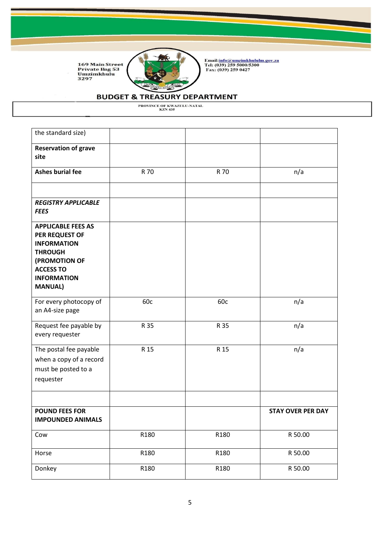

Email:<u>info@umzimkhululm.gov.za</u><br>Tel: (039) 259 5000/5300<br>Fax: (039) 259 0427

# **BUDGET & TREASURY DEPARTMENT**

| the standard size)                                                                                                                                               |      |      |                          |
|------------------------------------------------------------------------------------------------------------------------------------------------------------------|------|------|--------------------------|
| <b>Reservation of grave</b><br>site                                                                                                                              |      |      |                          |
| <b>Ashes burial fee</b>                                                                                                                                          | R 70 | R 70 | n/a                      |
|                                                                                                                                                                  |      |      |                          |
| <b>REGISTRY APPLICABLE</b><br><b>FEES</b>                                                                                                                        |      |      |                          |
| <b>APPLICABLE FEES AS</b><br>PER REQUEST OF<br><b>INFORMATION</b><br><b>THROUGH</b><br>(PROMOTION OF<br><b>ACCESS TO</b><br><b>INFORMATION</b><br><b>MANUAL)</b> |      |      |                          |
| For every photocopy of<br>an A4-size page                                                                                                                        | 60c  | 60c  | n/a                      |
| Request fee payable by<br>every requester                                                                                                                        | R 35 | R 35 | n/a                      |
| The postal fee payable<br>when a copy of a record<br>must be posted to a<br>requester                                                                            | R 15 | R 15 | n/a                      |
| <b>POUND FEES FOR</b><br><b>IMPOUNDED ANIMALS</b>                                                                                                                |      |      | <b>STAY OVER PER DAY</b> |
| Cow                                                                                                                                                              | R180 | R180 | R 50.00                  |
| Horse                                                                                                                                                            | R180 | R180 | R 50.00                  |
| Donkey                                                                                                                                                           | R180 | R180 | R 50.00                  |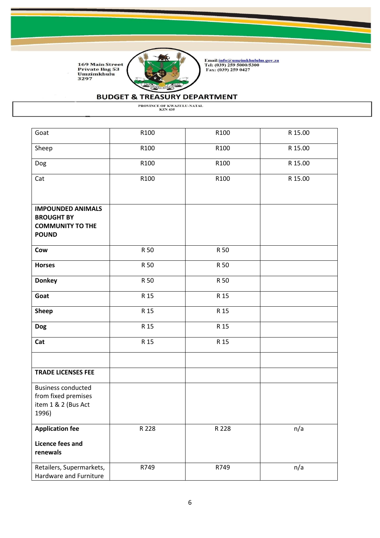

Email:<u>info@umzimkhululm.gov.za</u><br>Tel: (039) 259 5000/5300<br>Fax: (039) 259 0427

# **BUDGET & TREASURY DEPARTMENT**

| Goat                                                                                     | R100  | R100  | R 15.00 |
|------------------------------------------------------------------------------------------|-------|-------|---------|
| Sheep                                                                                    | R100  | R100  | R 15.00 |
| Dog                                                                                      | R100  | R100  | R 15.00 |
| Cat                                                                                      | R100  | R100  | R 15.00 |
|                                                                                          |       |       |         |
| <b>IMPOUNDED ANIMALS</b><br><b>BROUGHT BY</b><br><b>COMMUNITY TO THE</b><br><b>POUND</b> |       |       |         |
| Cow                                                                                      | R 50  | R 50  |         |
| <b>Horses</b>                                                                            | R 50  | R 50  |         |
| <b>Donkey</b>                                                                            | R 50  | R 50  |         |
| Goat                                                                                     | R 15  | R 15  |         |
| <b>Sheep</b>                                                                             | R 15  | R 15  |         |
| <b>Dog</b>                                                                               | R 15  | R 15  |         |
| Cat                                                                                      | R 15  | R 15  |         |
| <b>TRADE LICENSES FEE</b>                                                                |       |       |         |
| <b>Business conducted</b><br>from fixed premises<br>item 1 & 2 (Bus Act<br>1996)         |       |       |         |
| <b>Application fee</b>                                                                   | R 228 | R 228 | n/a     |
| Licence fees and<br>renewals                                                             |       |       |         |
| Retailers, Supermarkets,<br>Hardware and Furniture                                       | R749  | R749  | n/a     |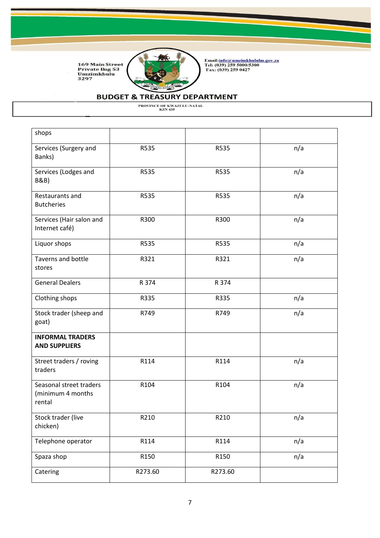

Email:<u>info@umzimkhululm.gov.za</u><br>Tel: (039) 259 5000/5300<br>Fax: (039) 259 0427

# **BUDGET & TREASURY DEPARTMENT**

| shops                                                  |         |         |     |
|--------------------------------------------------------|---------|---------|-----|
|                                                        |         |         |     |
| Services (Surgery and<br>Banks)                        | R535    | R535    | n/a |
| Services (Lodges and<br><b>B&amp;B</b> )               | R535    | R535    | n/a |
| Restaurants and<br><b>Butcheries</b>                   | R535    | R535    | n/a |
| Services (Hair salon and<br>Internet café)             | R300    | R300    | n/a |
| Liquor shops                                           | R535    | R535    | n/a |
| Taverns and bottle<br>stores                           | R321    | R321    | n/a |
| <b>General Dealers</b>                                 | R 374   | R 374   |     |
| Clothing shops                                         | R335    | R335    | n/a |
| Stock trader (sheep and<br>goat)                       | R749    | R749    | n/a |
| <b>INFORMAL TRADERS</b><br><b>AND SUPPLIERS</b>        |         |         |     |
| Street traders / roving<br>traders                     | R114    | R114    | n/a |
| Seasonal street traders<br>(minimum 4 months<br>rental | R104    | R104    | n/a |
| Stock trader (live<br>chicken)                         | R210    | R210    | n/a |
| Telephone operator                                     | R114    | R114    | n/a |
| Spaza shop                                             | R150    | R150    | n/a |
| Catering                                               | R273.60 | R273.60 |     |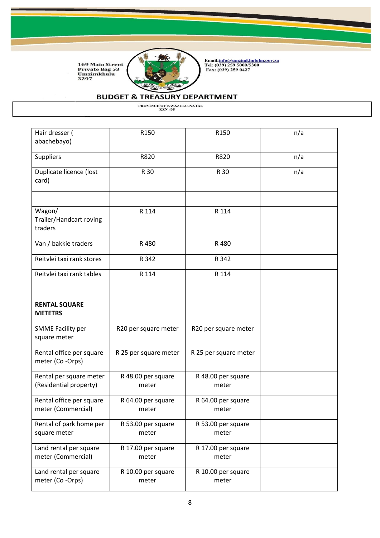

Email:<u>info@umzimkhululm.gov.za</u><br>Tel: (039) 259 5000/5300<br>Fax: (039) 259 0427

# **BUDGET & TREASURY DEPARTMENT**

| Hair dresser (<br>abachebayo)                     | R150                        | R150                        | n/a |
|---------------------------------------------------|-----------------------------|-----------------------------|-----|
| Suppliers                                         | R820                        | R820                        | n/a |
| Duplicate licence (lost<br>card)                  | R 30                        | R 30                        | n/a |
| Wagon/<br>Trailer/Handcart roving<br>traders      | R 114                       | R 114                       |     |
| Van / bakkie traders                              | R 480                       | R 480                       |     |
| Reitvlei taxi rank stores                         | R 342                       | R 342                       |     |
| Reitvlei taxi rank tables                         | R 114                       | R 114                       |     |
|                                                   |                             |                             |     |
| <b>RENTAL SQUARE</b><br><b>METETRS</b>            |                             |                             |     |
| <b>SMME Facility per</b><br>square meter          | R20 per square meter        | R20 per square meter        |     |
| Rental office per square<br>meter (Co-Orps)       | R 25 per square meter       | R 25 per square meter       |     |
| Rental per square meter<br>(Residential property) | R 48.00 per square<br>meter | R 48.00 per square<br>meter |     |
| Rental office per square<br>meter (Commercial)    | R 64.00 per square<br>meter | R 64.00 per square<br>meter |     |
| Rental of park home per<br>square meter           | R 53.00 per square<br>meter | R 53.00 per square<br>meter |     |
| Land rental per square<br>meter (Commercial)      | R 17.00 per square<br>meter | R 17.00 per square<br>meter |     |
| Land rental per square<br>meter (Co-Orps)         | R 10.00 per square<br>meter | R 10.00 per square<br>meter |     |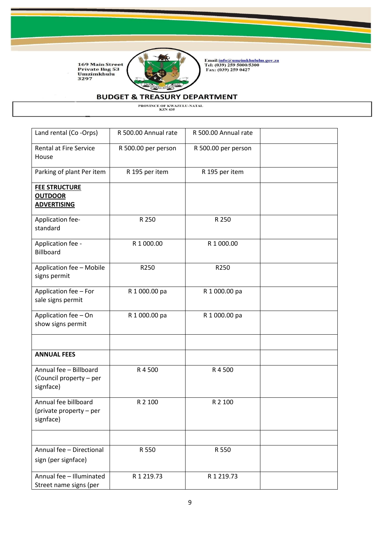

Email:<u>info@umzimkhululm.gov.za</u><br>Tel: (039) 259 5000/5300<br>Fax: (039) 259 0427

# **BUDGET & TREASURY DEPARTMENT**

| Land rental (Co-Orps)                                          | R 500.00 Annual rate | R 500.00 Annual rate |  |
|----------------------------------------------------------------|----------------------|----------------------|--|
| <b>Rental at Fire Service</b><br>House                         | R 500.00 per person  | R 500.00 per person  |  |
| Parking of plant Per item                                      | R 195 per item       | R 195 per item       |  |
| <b>FEE STRUCTURE</b><br><b>OUTDOOR</b><br><b>ADVERTISING</b>   |                      |                      |  |
| Application fee-<br>standard                                   | R 250                | R 250                |  |
| Application fee -<br><b>Billboard</b>                          | R 1 000.00           | R 1 000.00           |  |
| Application fee - Mobile<br>signs permit                       | R250                 | R250                 |  |
| Application fee - For<br>sale signs permit                     | R 1 000.00 pa        | R 1 000.00 pa        |  |
| Application fee - On<br>show signs permit                      | R 1 000.00 pa        | R 1 000.00 pa        |  |
| <b>ANNUAL FEES</b>                                             |                      |                      |  |
| Annual fee - Billboard<br>(Council property - per<br>signface) | R4500                | R4500                |  |
| Annual fee billboard<br>(private property – per<br>signface)   | R 2 100              | R 2 100              |  |
| Annual fee - Directional                                       | R 550                | R 550                |  |
| sign (per signface)                                            |                      |                      |  |
| Annual fee - Illuminated<br>Street name signs (per             | R 1 219.73           | R 1 219.73           |  |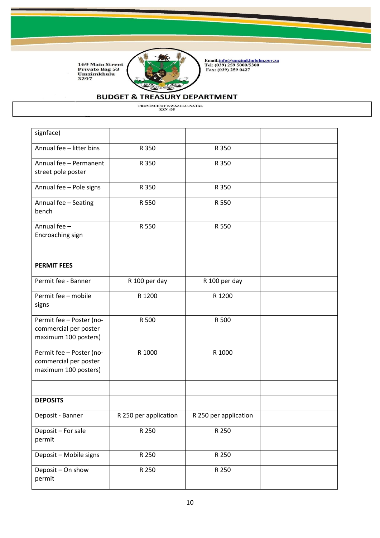

Email:<u>info@umzimkhululm.gov.za</u><br>Tel: (039) 259 5000/5300<br>Fax: (039) 259 0427

# **BUDGET & TREASURY DEPARTMENT**

| signface)                                                                 |                       |                       |  |
|---------------------------------------------------------------------------|-----------------------|-----------------------|--|
| Annual fee - litter bins                                                  | R 350                 | R 350                 |  |
| Annual fee - Permanent<br>street pole poster                              | R 350                 | R 350                 |  |
| Annual fee - Pole signs                                                   | R 350                 | R 350                 |  |
| Annual fee - Seating<br>bench                                             | R 550                 | R 550                 |  |
| Annual fee -<br>Encroaching sign                                          | R 550                 | R 550                 |  |
| <b>PERMIT FEES</b>                                                        |                       |                       |  |
| Permit fee - Banner                                                       | R 100 per day         | R 100 per day         |  |
| Permit fee - mobile<br>signs                                              | R 1200                | R 1200                |  |
| Permit fee - Poster (no-<br>commercial per poster<br>maximum 100 posters) | R 500                 | R 500                 |  |
| Permit fee - Poster (no-<br>commercial per poster<br>maximum 100 posters) | R 1000                | R 1000                |  |
| <b>DEPOSITS</b>                                                           |                       |                       |  |
|                                                                           |                       |                       |  |
| Deposit - Banner                                                          | R 250 per application | R 250 per application |  |
| Deposit - For sale<br>permit                                              | R 250                 | R 250                 |  |
| Deposit - Mobile signs                                                    | R 250                 | R 250                 |  |
| Deposit - On show<br>permit                                               | R 250                 | R 250                 |  |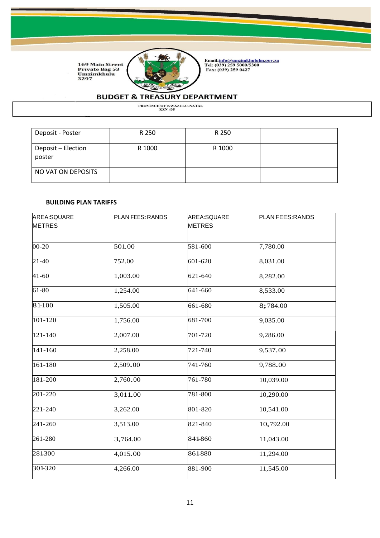

Email:<u>info@umzimkhululm.gov.za</u><br>Tel: (039) 259 5000/5300<br>Fax: (039) 259 0427

# **BUDGET & TREASURY DEPARTMENT**

PROVINCE OF KWAZULU-NATAL<br>KZN 435

| Deposit - Poster             | R 250  | R 250  |  |
|------------------------------|--------|--------|--|
| Deposit - Election<br>poster | R 1000 | R 1000 |  |
| NO VAT ON DEPOSITS           |        |        |  |

#### **BUILDING PLAN TARIFFS**

| AREA:SQUARE<br><b>METRES</b> | <b>PLAN FEES: RANDS</b> | AREA:SQUARE<br><b>METRES</b> | PLAN FEES: RANDS |
|------------------------------|-------------------------|------------------------------|------------------|
| 00-20                        | 501.00                  | 581-600                      | 7,780.00         |
| $21 - 40$                    | 752.00                  | 601-620                      | 8,031.00         |
| $41 - 60$                    | 1,003.00                | 621-640                      | 8,282.00         |
| 61-80                        | 1,254.00                | 641-660                      | 8,533.00         |
| 81-100                       | 1,505.00                | 661-680                      | 8;784.00         |
| 101-120                      | 1,756.00                | 681-700                      | 9,035.00         |
| 121-140                      | 2,007.00                | 701-720                      | 9,286.00         |
| 141-160                      | 2,258.00                | 721-740                      | 9,537.00         |
| 161-180                      | 2,509.00                | 741-760                      | 9,788.00         |
| 181-200                      | 2,760.00                | 761-780                      | 10,039.00        |
| 201-220                      | 3,011.00                | 781-800                      | 10,290.00        |
| 221-240                      | 3,262.00                | 801-820                      | 10,541.00        |
| 241-260                      | 3,513.00                | 821-840                      | 10,792.00        |
| 261-280                      | 3,764.00                | 841-860                      | 11,043.00        |
| 281300                       | 4,015.00                | 861-880                      | 11,294.00        |
| 301-320                      | 4,266.00                | 881-900                      | 11,545.00        |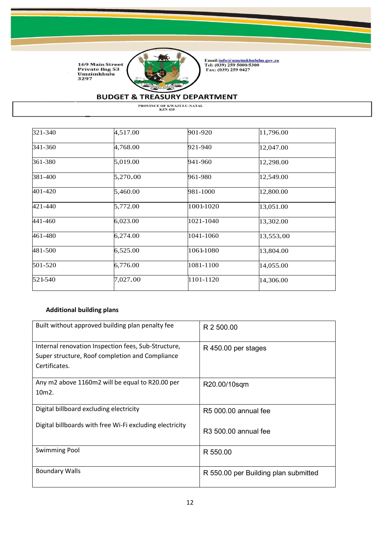

Email:<u>info@umzimkhululm.gov.za</u><br>Tel: (039) 259 5000/5300<br>Fax: (039) 259 0427

# **BUDGET & TREASURY DEPARTMENT**

PROVINCE OF KWAZULU-NATAL<br>KZN 435

| 321-340 | 4,517.00 | 901-920   | 11,796.00 |
|---------|----------|-----------|-----------|
| 341-360 | 4,768.00 | 921-940   | 12,047.00 |
| 361-380 | 5,019.00 | 941-960   | 12,298.00 |
| 381-400 | 5,270.00 | 961-980   | 12,549.00 |
| 401-420 | 5,460.00 | 981-1000  | 12,800.00 |
| 421-440 | 5,772.00 | 1001-1020 | 13,051.00 |
| 441-460 | 6,023.00 | 1021-1040 | 13,302.00 |
| 461-480 | 6,274.00 | 1041-1060 | 13,553.00 |
| 481-500 | 6,525.00 | 1061-1080 | 13,804.00 |
| 501-520 | 6,776.00 | 1081-1100 | 14,055.00 |
| 521-540 | 7,027.00 | 1101-1120 | 14,306.00 |

### **Additional building plans**

| Built without approved building plan penalty fee         | R 2 500.00                           |
|----------------------------------------------------------|--------------------------------------|
| Internal renovation Inspection fees, Sub-Structure,      | R 450.00 per stages                  |
| Super structure, Roof completion and Compliance          |                                      |
| Certificates.                                            |                                      |
|                                                          |                                      |
| Any m2 above 1160m2 will be equal to R20.00 per          | R20.00/10sqm                         |
| 10m2.                                                    |                                      |
|                                                          |                                      |
| Digital billboard excluding electricity                  | R5 000.00 annual fee                 |
| Digital billboards with free Wi-Fi excluding electricity |                                      |
|                                                          | R <sub>3</sub> 500.00 annual fee     |
|                                                          |                                      |
| <b>Swimming Pool</b>                                     | R 550.00                             |
|                                                          |                                      |
| <b>Boundary Walls</b>                                    | R 550.00 per Building plan submitted |
|                                                          |                                      |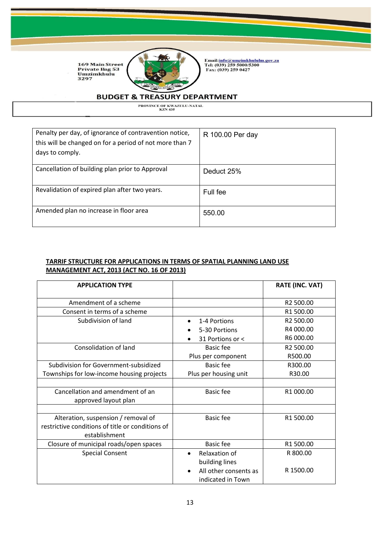

Email:<u>info@umzimkhululm.gov.za</u><br>Tel: (039) 259 5000/5300<br>Fax: (039) 259 0427

### **BUDGET & TREASURY DEPARTMENT**

PROVINCE OF KWAZULU-NATAL<br>KZN 435

| Penalty per day, of ignorance of contravention notice,<br>this will be changed on for a period of not more than 7<br>days to comply. | R 100.00 Per day |
|--------------------------------------------------------------------------------------------------------------------------------------|------------------|
| Cancellation of building plan prior to Approval                                                                                      | Deduct 25%       |
| Revalidation of expired plan after two years.                                                                                        | Full fee         |
| Amended plan no increase in floor area                                                                                               | 550.00           |

#### **TARRIF STRUCTURE FOR APPLICATIONS IN TERMS OF SPATIAL PLANNING LAND USE MANAGEMENT ACT, 2013 (ACT NO. 16 OF 2013)**

| <b>APPLICATION TYPE</b>                          |                       | <b>RATE (INC. VAT)</b> |
|--------------------------------------------------|-----------------------|------------------------|
|                                                  |                       |                        |
| Amendment of a scheme                            |                       | R2 500.00              |
| Consent in terms of a scheme                     |                       | R1 500.00              |
| Subdivision of land                              | 1-4 Portions          | R2 500.00              |
|                                                  | 5-30 Portions         | R4 000.00              |
|                                                  | 31 Portions or <      | R6 000.00              |
| Consolidation of land                            | Basic fee             | R2 500.00              |
|                                                  | Plus per component    | R500.00                |
| Subdivision for Government-subsidized            | <b>Basic fee</b>      | R300.00                |
| Townships for low-income housing projects        | Plus per housing unit | R30.00                 |
|                                                  |                       |                        |
| Cancellation and amendment of an                 | <b>Basic fee</b>      | R1 000.00              |
| approved layout plan                             |                       |                        |
|                                                  |                       |                        |
| Alteration, suspension / removal of              | Basic fee             | R1 500.00              |
| restrictive conditions of title or conditions of |                       |                        |
| establishment                                    |                       |                        |
| Closure of municipal roads/open spaces           | <b>Basic fee</b>      | R1 500.00              |
| <b>Special Consent</b>                           | Relaxation of         | R 800.00               |
|                                                  | building lines        |                        |
|                                                  | All other consents as | R 1500.00              |
|                                                  | indicated in Town     |                        |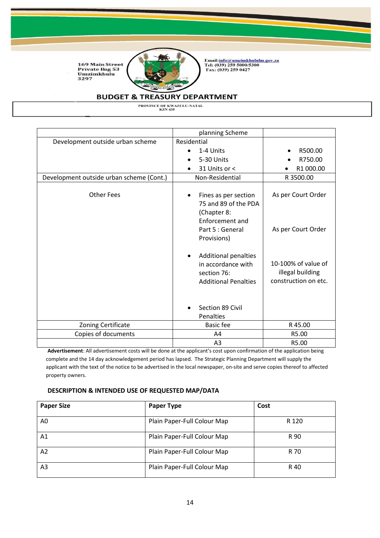

Email:<u>info@umzimkhululm.gov.za</u><br>Tel: (039) 259 5000/5300<br>Fax: (039) 259 0427

### **BUDGET & TREASURY DEPARTMENT**

PROVINCE OF KWAZULU-NATAL<br>KZN 435

|                                          | planning Scheme                                                                                                   |                                                                 |
|------------------------------------------|-------------------------------------------------------------------------------------------------------------------|-----------------------------------------------------------------|
| Development outside urban scheme         | Residential                                                                                                       |                                                                 |
|                                          | 1-4 Units                                                                                                         | R500.00                                                         |
|                                          | 5-30 Units                                                                                                        | R750.00                                                         |
|                                          | 31 Units or <                                                                                                     | R1 000.00                                                       |
| Development outside urban scheme (Cont.) | Non-Residential                                                                                                   | R 3500.00                                                       |
| <b>Other Fees</b>                        | Fines as per section<br>75 and 89 of the PDA<br>(Chapter 8:<br>Enforcement and<br>Part 5 : General<br>Provisions) | As per Court Order<br>As per Court Order                        |
|                                          | <b>Additional penalties</b><br>in accordance with<br>section 76:<br><b>Additional Penalties</b>                   | 10-100% of value of<br>illegal building<br>construction on etc. |
|                                          | Section 89 Civil<br>Penalties                                                                                     |                                                                 |
| Zoning Certificate                       | <b>Basic fee</b>                                                                                                  | R 45.00                                                         |
| Copies of documents                      | A4                                                                                                                | R5.00                                                           |
|                                          | A <sub>3</sub>                                                                                                    | R5.00                                                           |

**Advertisement**: All advertisement costs will be done at the applicant's cost upon confirmation of the application being complete and the 14 day acknowledgement period has lapsed. The Strategic Planning Department will supply the applicant with the text of the notice to be advertised in the local newspaper, on-site and serve copies thereof to affected property owners.

#### **DESCRIPTION & INTENDED USE OF REQUESTED MAP/DATA**

| <b>Paper Size</b> | <b>Paper Type</b>           | Cost  |
|-------------------|-----------------------------|-------|
| A0                | Plain Paper-Full Colour Map | R 120 |
| Α1                | Plain Paper-Full Colour Map | R 90  |
| A2                | Plain Paper-Full Colour Map | R 70  |
| A3                | Plain Paper-Full Colour Map | R 40  |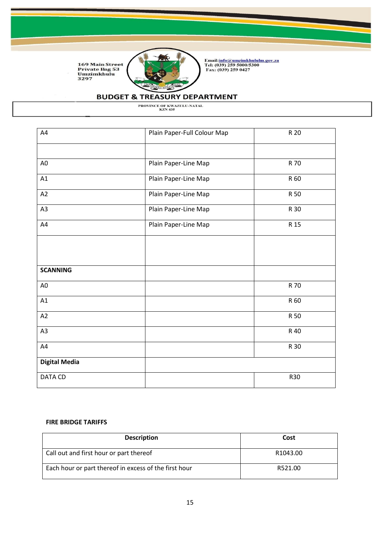

Email:<u>info@umzimkhululm.gov.za</u><br>Tel: (039) 259 5000/5300<br>Fax: (039) 259 0427

# **BUDGET & TREASURY DEPARTMENT**

PROVINCE OF KWAZULU-NATAL<br>KZN 435

| A4                   | Plain Paper-Full Colour Map | R 20       |
|----------------------|-----------------------------|------------|
|                      |                             |            |
| A <sub>0</sub>       | Plain Paper-Line Map        | R 70       |
| A1                   | Plain Paper-Line Map        | R 60       |
| A2                   | Plain Paper-Line Map        | R 50       |
| A <sub>3</sub>       | Plain Paper-Line Map        | R 30       |
| A4                   | Plain Paper-Line Map        | R 15       |
|                      |                             |            |
|                      |                             |            |
| <b>SCANNING</b>      |                             |            |
| A <sub>0</sub>       |                             | R 70       |
| A1                   |                             | R 60       |
| A2                   |                             | R 50       |
| A <sub>3</sub>       |                             | R 40       |
| A4                   |                             | R 30       |
| <b>Digital Media</b> |                             |            |
| DATA CD              |                             | <b>R30</b> |

#### **FIRE BRIDGE TARIFFS**

| <b>Description</b>                                    | Cost     |
|-------------------------------------------------------|----------|
| Call out and first hour or part thereof               | R1043.00 |
| Each hour or part thereof in excess of the first hour | R521.00  |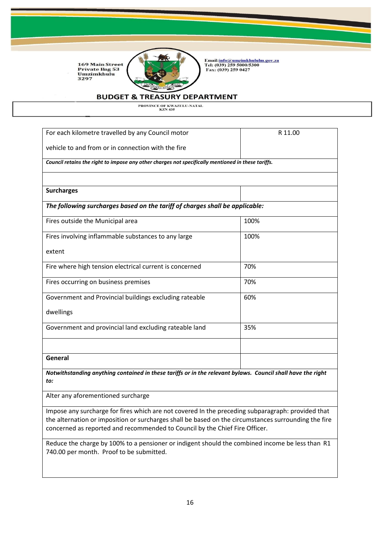

Email:<u>info@umzimkhululm.gov.za</u><br>Tel: (039) 259 5000/5300<br>Fax: (039) 259 0427

#### **BUDGET & TREASURY DEPARTMENT**

PROVINCE OF KWAZULU-NATAL<br>KZN 435

| For each kilometre travelled by any Council motor                                                  | R 11.00 |
|----------------------------------------------------------------------------------------------------|---------|
| vehicle to and from or in connection with the fire                                                 |         |
| Council retains the right to impose any other charges not specifically mentioned in these tariffs. |         |
| <b>Surcharges</b>                                                                                  |         |
| The following surcharges based on the tariff of charges shall be applicable:                       |         |
| Fires outside the Municipal area                                                                   | 100%    |
| Fires involving inflammable substances to any large                                                | 100%    |
| extent                                                                                             |         |
| Fire where high tension electrical current is concerned                                            | 70%     |
| Fires occurring on business premises                                                               | 70%     |
| Government and Provincial buildings excluding rateable                                             | 60%     |
| dwellings                                                                                          |         |
| Government and provincial land excluding rateable land                                             | 35%     |
|                                                                                                    |         |
| General                                                                                            |         |

*Notwithstanding anything contained in these tariffs or in the relevant bylaws. Council shall have the right to:*

Alter any aforementioned surcharge

Impose any surcharge for fires which are not covered In the preceding subparagraph: provided that the alternation or imposition or surcharges shall be based on the circumstances surrounding the fire concerned as reported and recommended to Council by the Chief Fire Officer.

Reduce the charge by 100% to a pensioner or indigent should the combined income be less than R1 740.00 per month. Proof to be submitted.